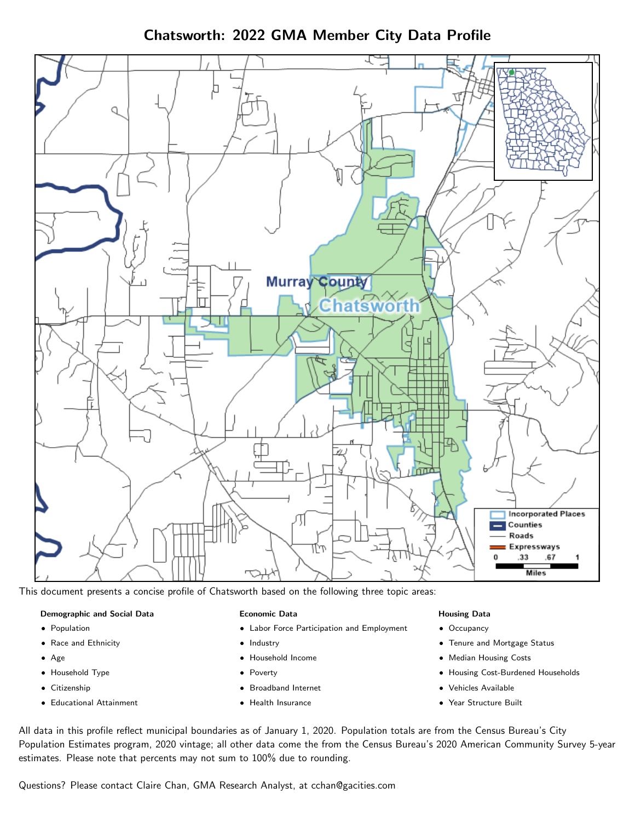Chatsworth: 2022 GMA Member City Data Profile



This document presents a concise profile of Chatsworth based on the following three topic areas:

### Demographic and Social Data

- **•** Population
- Race and Ethnicity
- Age
- Household Type
- **Citizenship**
- Educational Attainment

### Economic Data

- Labor Force Participation and Employment
- Industry
- Household Income
- Poverty
- Broadband Internet
- Health Insurance

## Housing Data

- Occupancy
- Tenure and Mortgage Status
- Median Housing Costs
- Housing Cost-Burdened Households
- Vehicles Available
- Year Structure Built

All data in this profile reflect municipal boundaries as of January 1, 2020. Population totals are from the Census Bureau's City Population Estimates program, 2020 vintage; all other data come the from the Census Bureau's 2020 American Community Survey 5-year estimates. Please note that percents may not sum to 100% due to rounding.

Questions? Please contact Claire Chan, GMA Research Analyst, at [cchan@gacities.com.](mailto:cchan@gacities.com)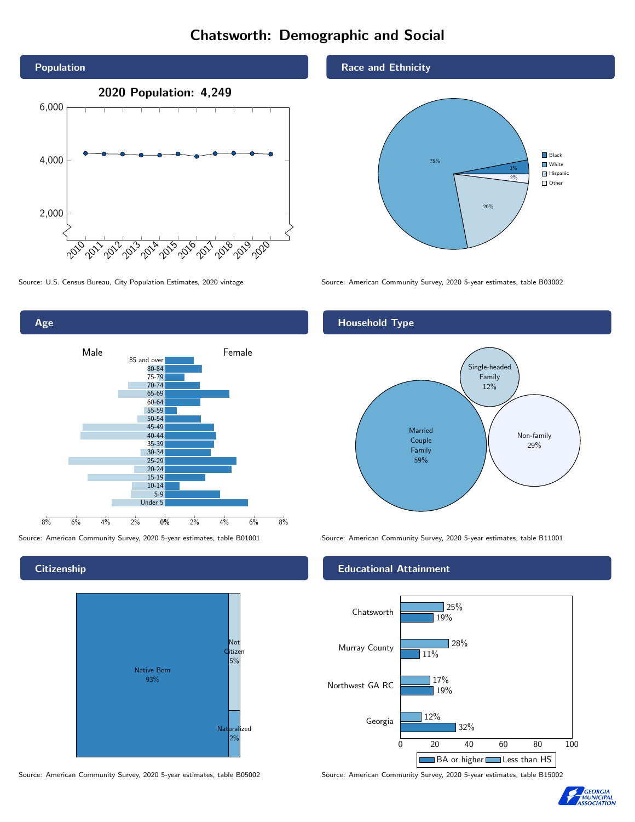# Chatsworth: Demographic and Social





## **Citizenship**



Source: American Community Survey, 2020 5-year estimates, table B05002 Source: American Community Survey, 2020 5-year estimates, table B15002

## Race and Ethnicity



Source: U.S. Census Bureau, City Population Estimates, 2020 vintage Source: American Community Survey, 2020 5-year estimates, table B03002

## Household Type



Source: American Community Survey, 2020 5-year estimates, table B01001 Source: American Community Survey, 2020 5-year estimates, table B11001

## Educational Attainment



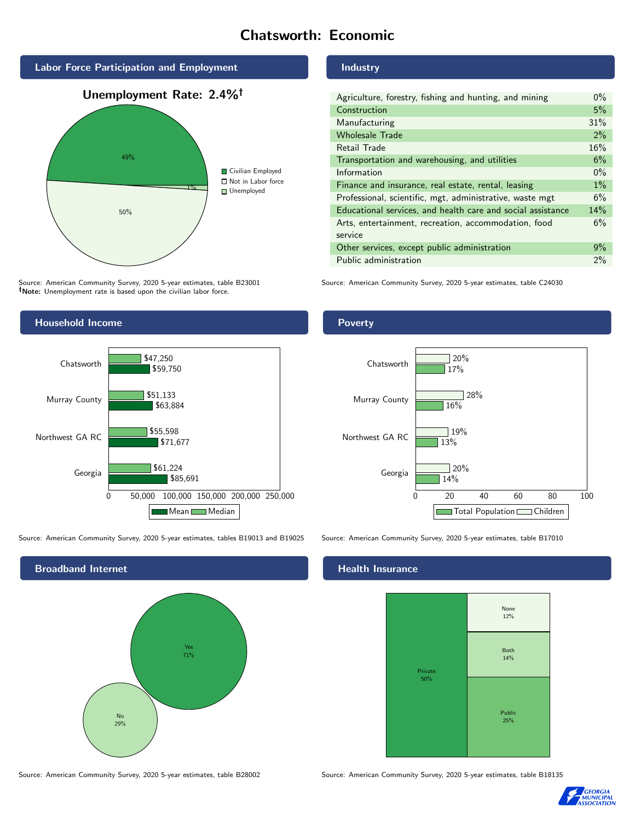# Chatsworth: Economic



Source: American Community Survey, 2020 5-year estimates, table B23001 Note: Unemployment rate is based upon the civilian labor force.

## Industry

| Agriculture, forestry, fishing and hunting, and mining      | $0\%$ |
|-------------------------------------------------------------|-------|
| Construction                                                | 5%    |
| Manufacturing                                               | 31%   |
| <b>Wholesale Trade</b>                                      | 2%    |
| Retail Trade                                                | 16%   |
| Transportation and warehousing, and utilities               | 6%    |
| Information                                                 | $0\%$ |
| Finance and insurance, real estate, rental, leasing         | $1\%$ |
| Professional, scientific, mgt, administrative, waste mgt    | 6%    |
| Educational services, and health care and social assistance | 14%   |
| Arts, entertainment, recreation, accommodation, food        | 6%    |
| service                                                     |       |
| Other services, except public administration                | 9%    |
| Public administration                                       | $2\%$ |

Source: American Community Survey, 2020 5-year estimates, table C24030



Source: American Community Survey, 2020 5-year estimates, tables B19013 and B19025 Source: American Community Survey, 2020 5-year estimates, table B17010



Source: American Community Survey, 2020 5-year estimates, table B28002 Source: American Community Survey, 2020 5-year estimates, table B18135

Poverty



## Health Insurance